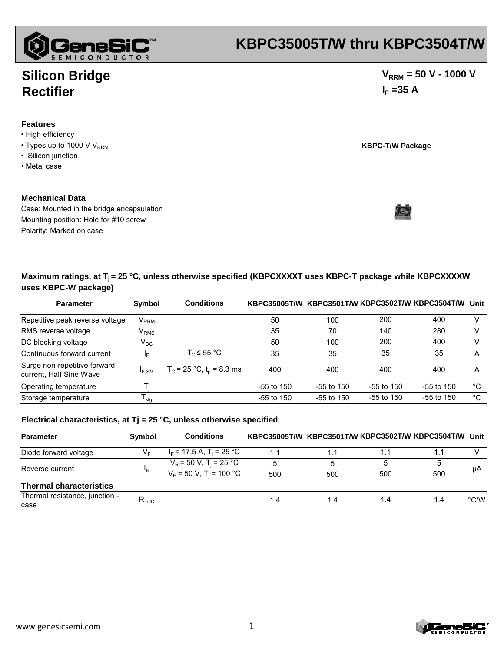

# **KBPC35005T/W thru KBPC3504T/W**

## **Silicon Bridge Rectifier**

### **Features**

- High efficiency
- Types up to 1000 V V<sub>RRM</sub> **KBPC-T/W Package**
- Silicon junction
- Metal case

### **Mechanical Data**

Case: Mounted in the bridge encapsulation Polarity: Marked on case Mounting position: Hole for #10 screw

 $V_{RRM}$  = 50 V - 1000 V  $I_F = 35 A$ 



| Maximum ratings, at $T_i$ = 25 °C, unless otherwise specified (KBPCXXXXT uses KBPC-T package while KBPCXXXXW |  |
|--------------------------------------------------------------------------------------------------------------|--|
| uses KBPC-W package)                                                                                         |  |

| <b>Parameter</b>                                        | Symbol                      | <b>Conditions</b>             | KBPC35005T/W KBPC3501T/W KBPC3502T/W KBPC3504T/W Unit |              |              |              |    |
|---------------------------------------------------------|-----------------------------|-------------------------------|-------------------------------------------------------|--------------|--------------|--------------|----|
| Repetitive peak reverse voltage                         | $\mathsf{V}_{\mathsf{RRM}}$ |                               | 50                                                    | 100          | 200          | 400          | V  |
| RMS reverse voltage                                     | $\mathsf{V}_{\mathsf{RMS}}$ |                               | 35                                                    | 70           | 140          | 280          | V  |
| DC blocking voltage                                     | $\mathsf{V}_\mathsf{DC}$    |                               | 50                                                    | 100          | 200          | 400          |    |
| Continuous forward current                              | ΙF                          | $T_c \leq 55 °C$              | 35                                                    | 35           | 35           | 35           | Α  |
| Surge non-repetitive forward<br>current, Half Sine Wave | $I_{F,SM}$                  | $T_c$ = 25 °C, $t_p$ = 8.3 ms | 400                                                   | 400          | 400          | 400          | А  |
| Operating temperature                                   |                             |                               | $-55$ to 150                                          | -55 to 150   | $-55$ to 150 | $-55$ to 150 | °C |
| Storage temperature                                     | l <sub>stq</sub>            |                               | $-55$ to 150                                          | $-55$ to 150 | $-55$ to 150 | $-55$ to 150 | °C |

#### **Electrical characteristics, at Tj = 25 °C, unless otherwise specified**

| <b>Parameter</b>               | Symbol         | <b>Conditions</b>                      | KBPC35005T/W KBPC3501T/W KBPC3502T/W KBPC3504T/W Unit |     |     |     |      |
|--------------------------------|----------------|----------------------------------------|-------------------------------------------------------|-----|-----|-----|------|
| Diode forward voltage          | V <sub>F</sub> | $I_F$ = 17.5 A, T <sub>i</sub> = 25 °C |                                                       |     |     | 1.1 |      |
| Reverse current                | 'R             | $V_R$ = 50 V, T <sub>i</sub> = 25 °C   | 5                                                     | 5   | 5   |     | μA   |
|                                |                | $V_R$ = 50 V, T <sub>i</sub> = 100 °C  | 500                                                   | 500 | 500 | 500 |      |
| <b>Thermal characteristics</b> |                |                                        |                                                       |     |     |     |      |
| Thermal resistance, junction - | $R_{thJC}$     |                                        | 1.4                                                   | 1.4 | 1.4 | 1.4 | °C/W |
| case                           |                |                                        |                                                       |     |     |     |      |